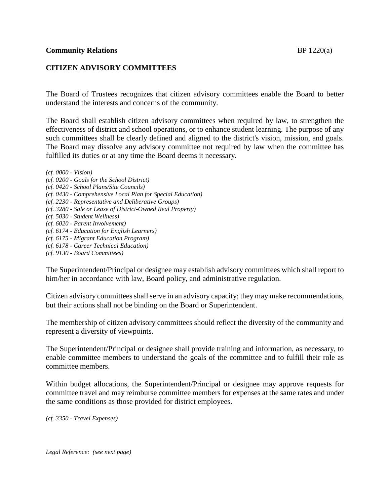## **CITIZEN ADVISORY COMMITTEES**

The Board of Trustees recognizes that citizen advisory committees enable the Board to better understand the interests and concerns of the community.

The Board shall establish citizen advisory committees when required by law, to strengthen the effectiveness of district and school operations, or to enhance student learning. The purpose of any such committees shall be clearly defined and aligned to the district's vision, mission, and goals. The Board may dissolve any advisory committee not required by law when the committee has fulfilled its duties or at any time the Board deems it necessary.

*(cf. 0000 - Vision) (cf. 0200 - Goals for the School District) (cf. 0420 - School Plans/Site Councils) (cf. 0430 - Comprehensive Local Plan for Special Education) (cf. 2230 - Representative and Deliberative Groups) (cf. 3280 - Sale or Lease of District-Owned Real Property) (cf. 5030 - Student Wellness) (cf. 6020 - Parent Involvement) (cf. 6174 - Education for English Learners) (cf. 6175 - Migrant Education Program) (cf. 6178 - Career Technical Education) (cf. 9130 - Board Committees)*

The Superintendent/Principal or designee may establish advisory committees which shall report to him/her in accordance with law, Board policy, and administrative regulation.

Citizen advisory committees shall serve in an advisory capacity; they may make recommendations, but their actions shall not be binding on the Board or Superintendent.

The membership of citizen advisory committees should reflect the diversity of the community and represent a diversity of viewpoints.

The Superintendent/Principal or designee shall provide training and information, as necessary, to enable committee members to understand the goals of the committee and to fulfill their role as committee members.

Within budget allocations, the Superintendent/Principal or designee may approve requests for committee travel and may reimburse committee members for expenses at the same rates and under the same conditions as those provided for district employees.

*(cf. 3350 - Travel Expenses)*

*Legal Reference: (see next page)*